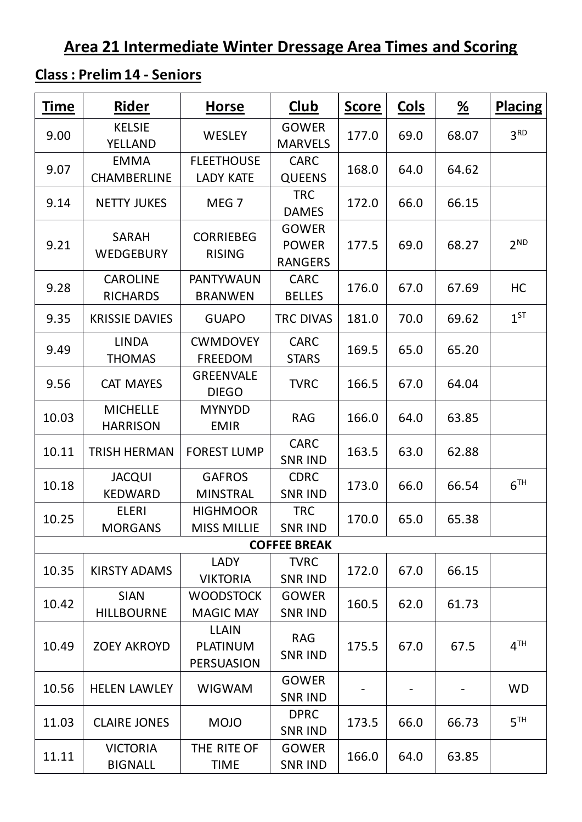# **Area 21 Intermediate Winter Dressage Area Times and Scoring**

## **Class : Prelim 14 - Seniors**

| <b>Time</b> | Rider                              | <b>Horse</b>                                         | <u>Club</u>                                    | <b>Score</b> | <u>Cols</u> | $\frac{\%}{\sqrt{2}}$ | <b>Placing</b>  |
|-------------|------------------------------------|------------------------------------------------------|------------------------------------------------|--------------|-------------|-----------------------|-----------------|
| 9.00        | <b>KELSIE</b><br><b>YELLAND</b>    | <b>WESLEY</b>                                        | <b>GOWER</b><br><b>MARVELS</b>                 | 177.0        | 69.0        | 68.07                 | 3 <sup>RD</sup> |
| 9.07        | <b>EMMA</b><br>CHAMBERLINE         | <b>FLEETHOUSE</b><br><b>LADY KATE</b>                | <b>CARC</b><br><b>QUEENS</b>                   | 168.0        | 64.0        | 64.62                 |                 |
| 9.14        | <b>NETTY JUKES</b>                 | MEG <sub>7</sub>                                     | <b>TRC</b><br><b>DAMES</b>                     | 172.0        | 66.0        | 66.15                 |                 |
| 9.21        | <b>SARAH</b><br>WEDGEBURY          | <b>CORRIEBEG</b><br><b>RISING</b>                    | <b>GOWER</b><br><b>POWER</b><br><b>RANGERS</b> | 177.5        | 69.0        | 68.27                 | 2 <sup>ND</sup> |
| 9.28        | <b>CAROLINE</b><br><b>RICHARDS</b> | <b>PANTYWAUN</b><br><b>BRANWEN</b>                   | <b>CARC</b><br><b>BELLES</b>                   | 176.0        | 67.0        | 67.69                 | HC              |
| 9.35        | <b>KRISSIE DAVIES</b>              | <b>GUAPO</b>                                         | <b>TRC DIVAS</b>                               | 181.0        | 70.0        | 69.62                 | $1^{ST}$        |
| 9.49        | <b>LINDA</b><br><b>THOMAS</b>      | <b>CWMDOVEY</b><br><b>FREEDOM</b>                    | <b>CARC</b><br><b>STARS</b>                    | 169.5        | 65.0        | 65.20                 |                 |
| 9.56        | <b>CAT MAYES</b>                   | <b>GREENVALE</b><br><b>DIEGO</b>                     | <b>TVRC</b>                                    | 166.5        | 67.0        | 64.04                 |                 |
| 10.03       | <b>MICHELLE</b><br><b>HARRISON</b> | <b>MYNYDD</b><br><b>EMIR</b>                         | <b>RAG</b>                                     | 166.0        | 64.0        | 63.85                 |                 |
| 10.11       | <b>TRISH HERMAN</b>                | <b>FOREST LUMP</b>                                   | <b>CARC</b><br><b>SNR IND</b>                  | 163.5        | 63.0        | 62.88                 |                 |
| 10.18       | <b>JACQUI</b><br><b>KEDWARD</b>    | <b>GAFROS</b><br><b>MINSTRAL</b>                     | <b>CDRC</b><br><b>SNR IND</b>                  | 173.0        | 66.0        | 66.54                 | 6 <sup>TH</sup> |
| 10.25       | <b>ELERI</b><br><b>MORGANS</b>     | <b>HIGHMOOR</b><br><b>MISS MILLIE</b>                | <b>TRC</b><br><b>SNR IND</b>                   | 170.0        | 65.0        | 65.38                 |                 |
|             |                                    |                                                      | <b>COFFEE BREAK</b>                            |              |             |                       |                 |
| 10.35       | <b>KIRSTY ADAMS</b>                | <b>LADY</b><br><b>VIKTORIA</b>                       | <b>TVRC</b><br><b>SNR IND</b>                  | 172.0        | 67.0        | 66.15                 |                 |
| 10.42       | <b>SIAN</b><br><b>HILLBOURNE</b>   | <b>WOODSTOCK</b><br><b>MAGIC MAY</b>                 | <b>GOWER</b><br><b>SNR IND</b>                 | 160.5        | 62.0        | 61.73                 |                 |
| 10.49       | <b>ZOEY AKROYD</b>                 | <b>LLAIN</b><br><b>PLATINUM</b><br><b>PERSUASION</b> | <b>RAG</b><br><b>SNR IND</b>                   | 175.5        | 67.0        | 67.5                  | 4 <sup>TH</sup> |
| 10.56       | <b>HELEN LAWLEY</b>                | <b>WIGWAM</b>                                        | <b>GOWER</b><br><b>SNR IND</b>                 |              |             |                       | <b>WD</b>       |
| 11.03       | <b>CLAIRE JONES</b>                | <b>MOJO</b>                                          | <b>DPRC</b><br><b>SNR IND</b>                  | 173.5        | 66.0        | 66.73                 | 5 <sup>TH</sup> |
| 11.11       | <b>VICTORIA</b><br><b>BIGNALL</b>  | THE RITE OF<br><b>TIME</b>                           | <b>GOWER</b><br><b>SNR IND</b>                 | 166.0        | 64.0        | 63.85                 |                 |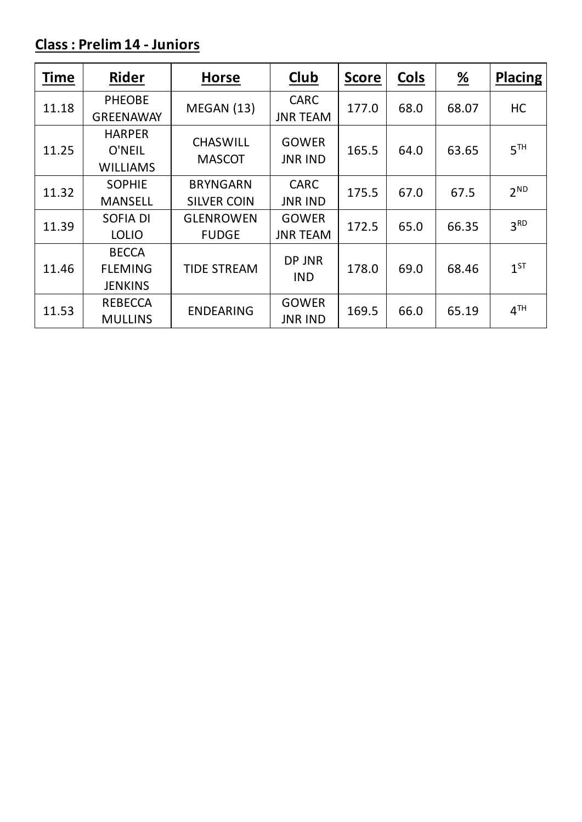## **Class : Prelim 14 - Juniors**

| <b>Time</b> | <b>Rider</b>                                     | <b>Horse</b>                          | Club                            | <b>Score</b> | Cols | $\frac{\%}{\sqrt{2}}$ | <b>Placing</b>  |
|-------------|--------------------------------------------------|---------------------------------------|---------------------------------|--------------|------|-----------------------|-----------------|
| 11.18       | <b>PHEOBE</b><br><b>GREENAWAY</b>                | MEGAN (13)                            | <b>CARC</b><br><b>JNR TEAM</b>  | 177.0        | 68.0 | 68.07                 | HC              |
| 11.25       | <b>HARPER</b><br>O'NEIL<br><b>WILLIAMS</b>       | <b>CHASWILL</b><br><b>MASCOT</b>      | <b>GOWER</b><br><b>JNR IND</b>  | 165.5        | 64.0 | 63.65                 | 5 <sup>TH</sup> |
| 11.32       | <b>SOPHIE</b><br><b>MANSELL</b>                  | <b>BRYNGARN</b><br><b>SILVER COIN</b> | <b>CARC</b><br><b>JNR IND</b>   | 175.5        | 67.0 | 67.5                  | 2 <sup>ND</sup> |
| 11.39       | <b>SOFIA DI</b><br><b>LOLIO</b>                  | <b>GLENROWEN</b><br><b>FUDGE</b>      | <b>GOWER</b><br><b>JNR TEAM</b> | 172.5        | 65.0 | 66.35                 | 3 <sup>RD</sup> |
| 11.46       | <b>BECCA</b><br><b>FLEMING</b><br><b>JENKINS</b> | <b>TIDE STREAM</b>                    | DP JNR<br><b>IND</b>            | 178.0        | 69.0 | 68.46                 | $1^{ST}$        |
| 11.53       | <b>REBECCA</b><br><b>MULLINS</b>                 | <b>ENDEARING</b>                      | <b>GOWER</b><br>JNR IND         | 169.5        | 66.0 | 65.19                 | 4 <sup>TH</sup> |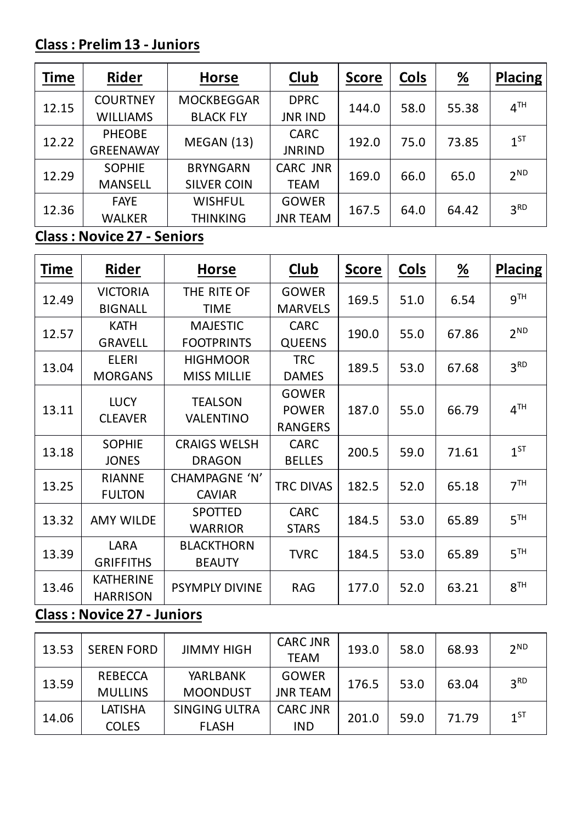## **Class : Prelim 13 - Juniors**

| <b>Time</b> | <b>Rider</b>     | <b>Horse</b>       | <b>Club</b>     | <b>Score</b> | <b>Cols</b> | <u>%</u> | <b>Placing</b>  |
|-------------|------------------|--------------------|-----------------|--------------|-------------|----------|-----------------|
|             | <b>COURTNEY</b>  | <b>MOCKBEGGAR</b>  | <b>DPRC</b>     | 144.0        | 58.0        | 55.38    | 4 <sup>TH</sup> |
| 12.15       | <b>WILLIAMS</b>  | <b>BLACK FLY</b>   | <b>JNR IND</b>  |              |             |          |                 |
| 12.22       | <b>PHEOBE</b>    | MEGAN (13)         | <b>CARC</b>     | 192.0        | 75.0        | 73.85    | $1^{ST}$        |
|             | <b>GREENAWAY</b> |                    | <b>JNRIND</b>   |              |             |          |                 |
|             | <b>SOPHIE</b>    | <b>BRYNGARN</b>    | <b>CARC JNR</b> | 169.0        | 66.0        | 65.0     | $2^{ND}$        |
| 12.29       | <b>MANSELL</b>   | <b>SILVER COIN</b> | <b>TEAM</b>     |              |             |          |                 |
| 12.36       | <b>FAYE</b>      | <b>WISHFUL</b>     | <b>GOWER</b>    | 167.5        |             | 64.42    | 3 <sup>RD</sup> |
|             | <b>WALKER</b>    | <b>THINKING</b>    | <b>JNR TEAM</b> |              | 64.0        |          |                 |

## **Class : Novice 27 - Seniors**

| <b>Time</b> | Rider            | <b>Horse</b>          | Club                 | <b>Score</b> | <b>Cols</b> | $\frac{\%}{\sqrt{2}}$ | <b>Placing</b>  |
|-------------|------------------|-----------------------|----------------------|--------------|-------------|-----------------------|-----------------|
| 12.49       | <b>VICTORIA</b>  | THE RITE OF           | <b>GOWER</b>         | 169.5        | 51.0        | 6.54                  | 9 <sup>TH</sup> |
|             | <b>BIGNALL</b>   | <b>TIME</b>           | <b>MARVELS</b>       |              |             |                       |                 |
| 12.57       | <b>KATH</b>      | <b>MAJESTIC</b>       | <b>CARC</b>          | 190.0        | 55.0        | 67.86                 | $2^{ND}$        |
|             | <b>GRAVELL</b>   | <b>FOOTPRINTS</b>     | <b>QUEENS</b>        |              |             |                       |                 |
|             | <b>ELERI</b>     | <b>HIGHMOOR</b>       | <b>TRC</b>           |              |             |                       | 3 <sup>RD</sup> |
| 13.04       | <b>MORGANS</b>   | <b>MISS MILLIE</b>    | <b>DAMES</b>         | 189.5        | 53.0        | 67.68                 |                 |
|             | <b>LUCY</b>      | <b>TEALSON</b>        | <b>GOWER</b>         |              |             |                       |                 |
| 13.11       |                  | <b>VALENTINO</b>      | <b>POWER</b>         | 187.0        | 55.0        | 66.79                 | 4 <sup>TH</sup> |
|             | <b>CLEAVER</b>   |                       | <b>RANGERS</b>       |              |             |                       |                 |
| 13.18       | <b>SOPHIE</b>    | <b>CRAIGS WELSH</b>   | <b>CARC</b>          | 200.5        | 59.0        | 71.61                 | $1^{ST}$        |
|             | <b>JONES</b>     | <b>DRAGON</b>         | <b>BELLES</b>        |              |             |                       |                 |
| 13.25       | <b>RIANNE</b>    | <b>CHAMPAGNE 'N'</b>  | <b>TRC DIVAS</b>     | 182.5        | 52.0        | 65.18                 | 7 <sup>TH</sup> |
|             | <b>FULTON</b>    | <b>CAVIAR</b>         |                      |              |             |                       |                 |
| 13.32       | <b>AMY WILDE</b> | <b>SPOTTED</b>        | <b>CARC</b>          | 184.5        | 53.0        | 65.89                 | 5 <sup>TH</sup> |
|             |                  | <b>WARRIOR</b>        | <b>STARS</b>         |              |             |                       |                 |
|             | <b>LARA</b>      | <b>BLACKTHORN</b>     |                      |              | 53.0        |                       | 5 <sup>TH</sup> |
| 13.39       | <b>GRIFFITHS</b> | <b>BEAUTY</b>         | <b>TVRC</b><br>184.5 |              | 65.89       |                       |                 |
| 13.46       | <b>KATHERINE</b> | <b>PSYMPLY DIVINE</b> | <b>RAG</b>           | 177.0        | 52.0        | 63.21                 | 8 <sup>TH</sup> |
|             | <b>HARRISON</b>  |                       |                      |              |             |                       |                 |

## **Class : Novice 27 - Juniors**

| 13.53 | <b>SEREN FORD</b>                | <b>JIMMY HIGH</b>                    | <b>CARC JNR</b><br><b>TEAM</b>  | 193.0 | 58.0 | 68.93 | 2 <sup>ND</sup> |
|-------|----------------------------------|--------------------------------------|---------------------------------|-------|------|-------|-----------------|
| 13.59 | <b>REBECCA</b><br><b>MULLINS</b> | <b>YARLBANK</b><br><b>MOONDUST</b>   | <b>GOWER</b><br><b>JNR TEAM</b> | 176.5 | 53.0 | 63.04 | 3 <sup>RD</sup> |
| 14.06 | LATISHA<br><b>COLES</b>          | <b>SINGING ULTRA</b><br><b>FLASH</b> | <b>CARC JNR</b><br><b>IND</b>   | 201.0 | 59.0 | 71.79 | $1^{ST}$        |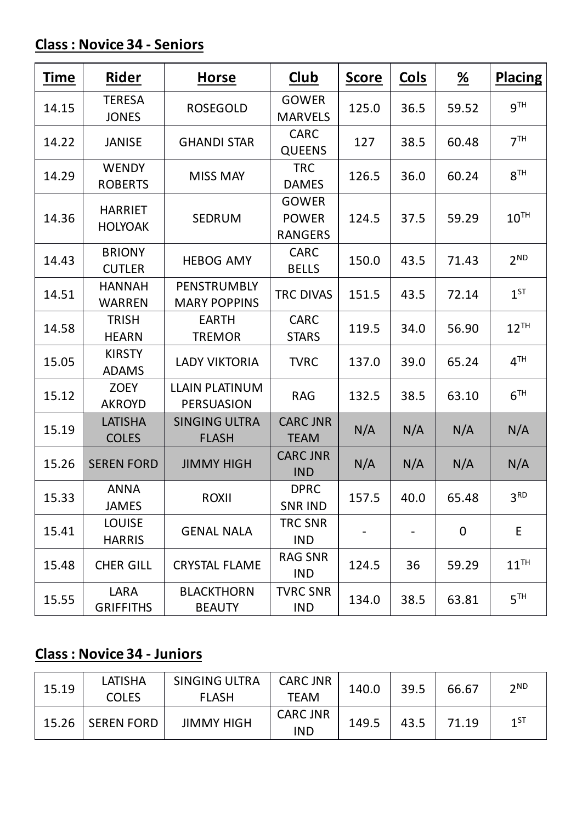### **Class : Novice 34 - Seniors**

| <b>Time</b> | <u>Rider</u>                     | <b>Horse</b>                               | <u>Club</u>                                    | <b>Score</b> | <u>Cols</u> | $\frac{\%}{\sqrt{2}}$ | <b>Placing</b>   |
|-------------|----------------------------------|--------------------------------------------|------------------------------------------------|--------------|-------------|-----------------------|------------------|
| 14.15       | <b>TERESA</b><br><b>JONES</b>    | <b>ROSEGOLD</b>                            | <b>GOWER</b><br><b>MARVELS</b>                 | 125.0        | 36.5        | 59.52                 | <b>g</b> TH      |
| 14.22       | <b>JANISE</b>                    | <b>GHANDI STAR</b>                         | <b>CARC</b><br><b>QUEENS</b>                   | 127          | 38.5        | 60.48                 | 7 <sup>TH</sup>  |
| 14.29       | <b>WENDY</b><br><b>ROBERTS</b>   | <b>MISS MAY</b>                            | <b>TRC</b><br><b>DAMES</b>                     | 126.5        | 36.0        | 60.24                 | 8 <sup>TH</sup>  |
| 14.36       | <b>HARRIET</b><br><b>HOLYOAK</b> | <b>SEDRUM</b>                              | <b>GOWER</b><br><b>POWER</b><br><b>RANGERS</b> | 124.5        | 37.5        | 59.29                 | $10^{TH}$        |
| 14.43       | <b>BRIONY</b><br><b>CUTLER</b>   | <b>HEBOG AMY</b>                           | <b>CARC</b><br><b>BELLS</b>                    | 150.0        | 43.5        | 71.43                 | $2^{ND}$         |
| 14.51       | <b>HANNAH</b><br><b>WARREN</b>   | PENSTRUMBLY<br><b>MARY POPPINS</b>         | <b>TRC DIVAS</b>                               | 151.5        | 43.5        | 72.14                 | $1^{ST}$         |
| 14.58       | <b>TRISH</b><br><b>HEARN</b>     | <b>EARTH</b><br><b>TREMOR</b>              | <b>CARC</b><br><b>STARS</b>                    | 119.5        | 34.0        | 56.90                 | $12^{TH}$        |
| 15.05       | <b>KIRSTY</b><br><b>ADAMS</b>    | <b>LADY VIKTORIA</b>                       | <b>TVRC</b>                                    | 137.0        | 39.0        | 65.24                 | 4 <sup>TH</sup>  |
| 15.12       | <b>ZOEY</b><br><b>AKROYD</b>     | <b>LLAIN PLATINUM</b><br><b>PERSUASION</b> | <b>RAG</b>                                     | 132.5        | 38.5        | 63.10                 | 6 <sup>TH</sup>  |
| 15.19       | <b>LATISHA</b><br><b>COLES</b>   | <b>SINGING ULTRA</b><br><b>FLASH</b>       | <b>CARC JNR</b><br><b>TEAM</b>                 | N/A          | N/A         | N/A                   | N/A              |
| 15.26       | <b>SEREN FORD</b>                | <b>JIMMY HIGH</b>                          | <b>CARC JNR</b><br><b>IND</b>                  | N/A          | N/A         | N/A                   | N/A              |
| 15.33       | <b>ANNA</b><br><b>JAMES</b>      | ROXII                                      | <b>DPRC</b><br><b>SNR IND</b>                  | 157.5        | 40.0        | 65.48                 | 3 <sup>RD</sup>  |
| 15.41       | <b>LOUISE</b><br><b>HARRIS</b>   | <b>GENAL NALA</b>                          | <b>TRC SNR</b><br><b>IND</b>                   |              |             | $\overline{0}$        | E                |
| 15.48       | <b>CHER GILL</b>                 | <b>CRYSTAL FLAME</b>                       | <b>RAG SNR</b><br><b>IND</b>                   | 124.5        | 36          | 59.29                 | $11^{\text{TH}}$ |
| 15.55       | LARA<br><b>GRIFFITHS</b>         | <b>BLACKTHORN</b><br><b>BEAUTY</b>         | <b>TVRC SNR</b><br><b>IND</b>                  | 134.0        | 38.5        | 63.81                 | 5 <sup>TH</sup>  |

## **Class : Novice 34 - Juniors**

| 15.19 | LATISHA<br><b>COLES</b> | <b>SINGING ULTRA</b><br><b>FLASH</b> | <b>CARC JNR</b><br>TEAM       | 140.0 | 39.5 | 66.67 | 2 <sub>ND</sub> |
|-------|-------------------------|--------------------------------------|-------------------------------|-------|------|-------|-----------------|
| 15.26 | <b>SEREN FORD</b>       | <b>JIMMY HIGH</b>                    | <b>CARC JNR</b><br><b>IND</b> | 149.5 | 43.5 | 71.19 | $1^{ST}$        |